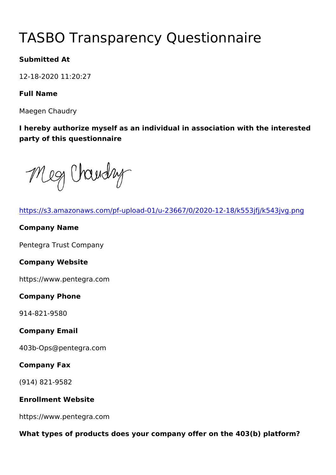# TASBO Transparency Questionna

Submitted At

12-18-2020 11:20:27

Full Name

Maegen Chaudry

I hereby authorize myself as an individual in association with the party of this questionnaire

| https://s3.amazonaws.com/pf-upload-01/u-23667/0/2020-12-18/k55   |
|------------------------------------------------------------------|
| Company Name                                                     |
| Pentegra Trust Company                                           |
| Company Website                                                  |
| https://www.pentegra.com                                         |
| Company Phone                                                    |
| $914 - 821 - 9580$                                               |
| Company Email                                                    |
| 403b-Ops@pentegra.com                                            |
| Company Fax                                                      |
| $(914) 821 - 9582$                                               |
| Enrollment Website                                               |
| https://www.pentegra.com                                         |
| What types of products does your company offer on the 403(b) pla |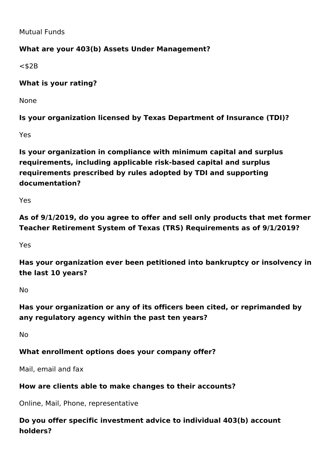Mutual Funds

### **What are your 403(b) Assets Under Management?**

 $<$ \$2B

**What is your rating?** 

None

**Is your organization licensed by Texas Department of Insurance (TDI)?**

Yes

**Is your organization in compliance with minimum capital and surplus requirements, including applicable risk-based capital and surplus requirements prescribed by rules adopted by TDI and supporting documentation?**

Yes

**As of 9/1/2019, do you agree to offer and sell only products that met former Teacher Retirement System of Texas (TRS) Requirements as of 9/1/2019?**

Yes

**Has your organization ever been petitioned into bankruptcy or insolvency in the last 10 years?**

No

**Has your organization or any of its officers been cited, or reprimanded by any regulatory agency within the past ten years?**

No

### **What enrollment options does your company offer?**

Mail, email and fax

#### **How are clients able to make changes to their accounts?**

Online, Mail, Phone, representative

**Do you offer specific investment advice to individual 403(b) account holders?**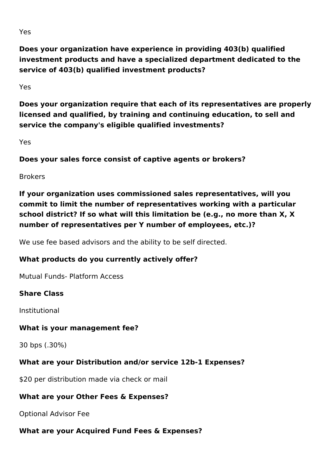**Does your organization have experience in providing 403(b) qualified investment products and have a specialized department dedicated to the service of 403(b) qualified investment products?**

Yes

**Does your organization require that each of its representatives are properly licensed and qualified, by training and continuing education, to sell and service the company's eligible qualified investments?** 

Yes

**Does your sales force consist of captive agents or brokers?**

Brokers

**If your organization uses commissioned sales representatives, will you commit to limit the number of representatives working with a particular school district? If so what will this limitation be (e.g., no more than X, X number of representatives per Y number of employees, etc.)?**

We use fee based advisors and the ability to be self directed.

### **What products do you currently actively offer?**

Mutual Funds- Platform Access

### **Share Class**

Institutional

### **What is your management fee?**

30 bps (.30%)

### **What are your Distribution and/or service 12b-1 Expenses?**

\$20 per distribution made via check or mail

### **What are your Other Fees & Expenses?**

Optional Advisor Fee

## **What are your Acquired Fund Fees & Expenses?**